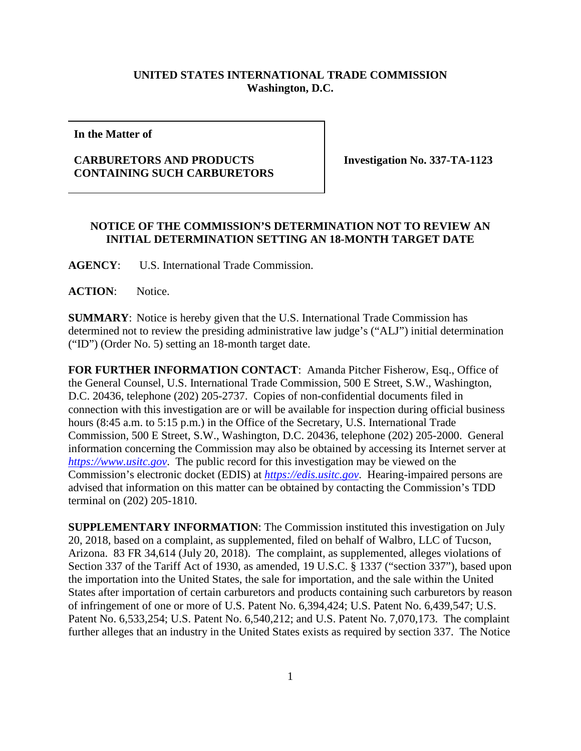## **UNITED STATES INTERNATIONAL TRADE COMMISSION Washington, D.C.**

**In the Matter of**

## **CARBURETORS AND PRODUCTS CONTAINING SUCH CARBURETORS**

**Investigation No. 337-TA-1123**

## **NOTICE OF THE COMMISSION'S DETERMINATION NOT TO REVIEW AN INITIAL DETERMINATION SETTING AN 18-MONTH TARGET DATE**

**AGENCY**: U.S. International Trade Commission.

**ACTION**: Notice.

**SUMMARY**: Notice is hereby given that the U.S. International Trade Commission has determined not to review the presiding administrative law judge's ("ALJ") initial determination ("ID") (Order No. 5) setting an 18-month target date.

**FOR FURTHER INFORMATION CONTACT**: Amanda Pitcher Fisherow, Esq., Office of the General Counsel, U.S. International Trade Commission, 500 E Street, S.W., Washington, D.C. 20436, telephone (202) 205-2737. Copies of non-confidential documents filed in connection with this investigation are or will be available for inspection during official business hours (8:45 a.m. to 5:15 p.m.) in the Office of the Secretary, U.S. International Trade Commission, 500 E Street, S.W., Washington, D.C. 20436, telephone (202) 205-2000. General information concerning the Commission may also be obtained by accessing its Internet server at *[https://www.usitc.gov](https://www.usitc.gov/)*. The public record for this investigation may be viewed on the Commission's electronic docket (EDIS) at *[https://edis.usitc.gov](https://edis.usitc.gov/)*. Hearing-impaired persons are advised that information on this matter can be obtained by contacting the Commission's TDD terminal on (202) 205-1810.

**SUPPLEMENTARY INFORMATION**: The Commission instituted this investigation on July 20, 2018, based on a complaint, as supplemented, filed on behalf of Walbro, LLC of Tucson, Arizona. 83 FR 34,614 (July 20, 2018). The complaint, as supplemented, alleges violations of Section 337 of the Tariff Act of 1930, as amended, 19 U.S.C. § 1337 ("section 337"), based upon the importation into the United States, the sale for importation, and the sale within the United States after importation of certain carburetors and products containing such carburetors by reason of infringement of one or more of U.S. Patent No. 6,394,424; U.S. Patent No. 6,439,547; U.S. Patent No. 6,533,254; U.S. Patent No. 6,540,212; and U.S. Patent No. 7,070,173. The complaint further alleges that an industry in the United States exists as required by section 337. The Notice